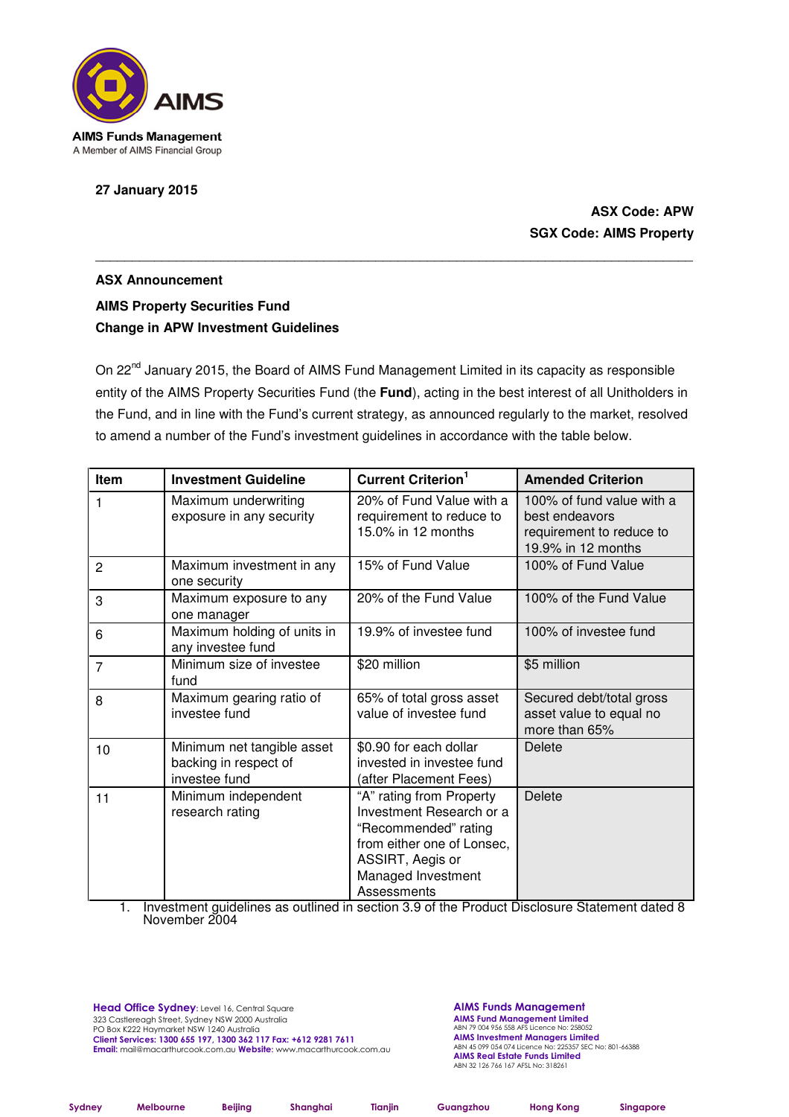

**27 January 2015** 

# **ASX Code: APW SGX Code: AIMS Property**

# **ASX Announcement AIMS Property Securities Fund Change in APW Investment Guidelines**

On 22<sup>nd</sup> January 2015, the Board of AIMS Fund Management Limited in its capacity as responsible entity of the AIMS Property Securities Fund (the **Fund**), acting in the best interest of all Unitholders in the Fund, and in line with the Fund's current strategy, as announced regularly to the market, resolved to amend a number of the Fund's investment guidelines in accordance with the table below.

\_\_\_\_\_\_\_\_\_\_\_\_\_\_\_\_\_\_\_\_\_\_\_\_\_\_\_\_\_\_\_\_\_\_\_\_\_\_\_\_\_\_\_\_\_\_\_\_\_\_\_\_\_\_\_\_\_\_\_\_\_\_\_\_\_\_\_\_\_\_\_\_\_\_\_\_\_\_\_\_\_

| <b>Item</b>    | <b>Investment Guideline</b>                                          | <b>Current Criterion</b> <sup>1</sup>                                                                                                                               | <b>Amended Criterion</b>                                                                      |
|----------------|----------------------------------------------------------------------|---------------------------------------------------------------------------------------------------------------------------------------------------------------------|-----------------------------------------------------------------------------------------------|
| 1              | Maximum underwriting<br>exposure in any security                     | 20% of Fund Value with a<br>requirement to reduce to<br>15.0% in 12 months                                                                                          | 100% of fund value with a<br>best endeavors<br>requirement to reduce to<br>19.9% in 12 months |
| $\overline{2}$ | Maximum investment in any<br>one security                            | 15% of Fund Value                                                                                                                                                   | 100% of Fund Value                                                                            |
| 3              | Maximum exposure to any<br>one manager                               | 20% of the Fund Value                                                                                                                                               | 100% of the Fund Value                                                                        |
| 6              | Maximum holding of units in<br>any investee fund                     | 19.9% of investee fund                                                                                                                                              | 100% of investee fund                                                                         |
| $\overline{7}$ | Minimum size of investee<br>fund                                     | \$20 million                                                                                                                                                        | \$5 million                                                                                   |
| 8              | Maximum gearing ratio of<br>investee fund                            | 65% of total gross asset<br>value of investee fund                                                                                                                  | Secured debt/total gross<br>asset value to equal no<br>more than 65%                          |
| 10             | Minimum net tangible asset<br>backing in respect of<br>investee fund | \$0.90 for each dollar<br>invested in investee fund<br>(after Placement Fees)                                                                                       | <b>Delete</b>                                                                                 |
| 11             | Minimum independent<br>research rating                               | "A" rating from Property<br>Investment Research or a<br>"Recommended" rating<br>from either one of Lonsec,<br>ASSIRT, Aegis or<br>Managed Investment<br>Assessments | <b>Delete</b>                                                                                 |

1. Investment guidelines as outlined in section 3.9 of the Product Disclosure Statement dated 8 November 2004

Head Office Sydney: Level 16, Central Square 323 Castlereagh Street, Sydney NSW 2000 Australia PO Box K222 Haymarket NSW 1240 Australia Client Services: 1300 655 197, 1300 362 117 Fax: +612 9281 7611 Email: mail@macarthurcook.com.au Website: www.macarthurcook.com.au AIMS Funds Management **AIMS Fund Management Limited**<br>ABN 79 004 956 558 AFS Licence No: 258052 **AIMS Investment Managers Limited**<br>ABN 45 099 054 074 Licence No: 225357 SEC No: 801-66388 **AIMS Real Estate Funds Limited**<br>ABN 32 126 766 167 AFSL No: 318261

Sydney Melbourne Beijing Shanghai Tianjin Guangzhou Hong Kong Singapore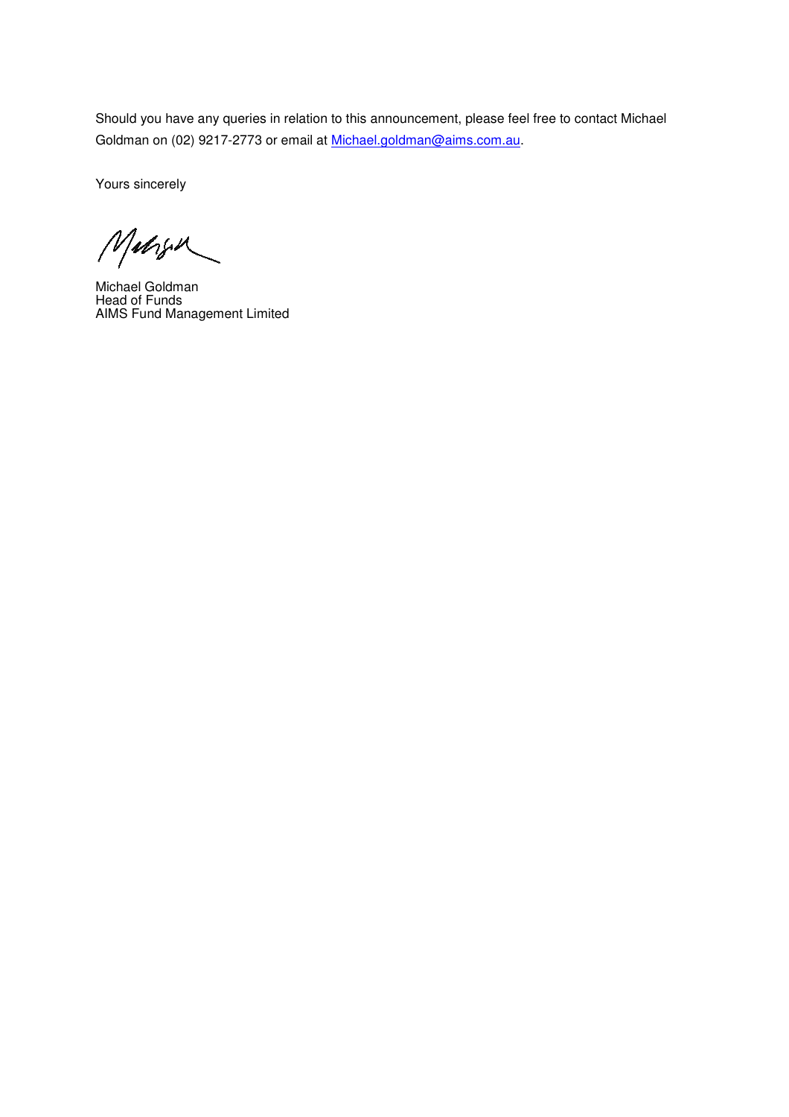Should you have any queries in relation to this announcement, please feel free to contact Michael Goldman on (02) 9217-2773 or email at Michael.goldman@aims.com.au.

Yours sincerely

Margu

Michael Goldman Head of Funds AIMS Fund Management Limited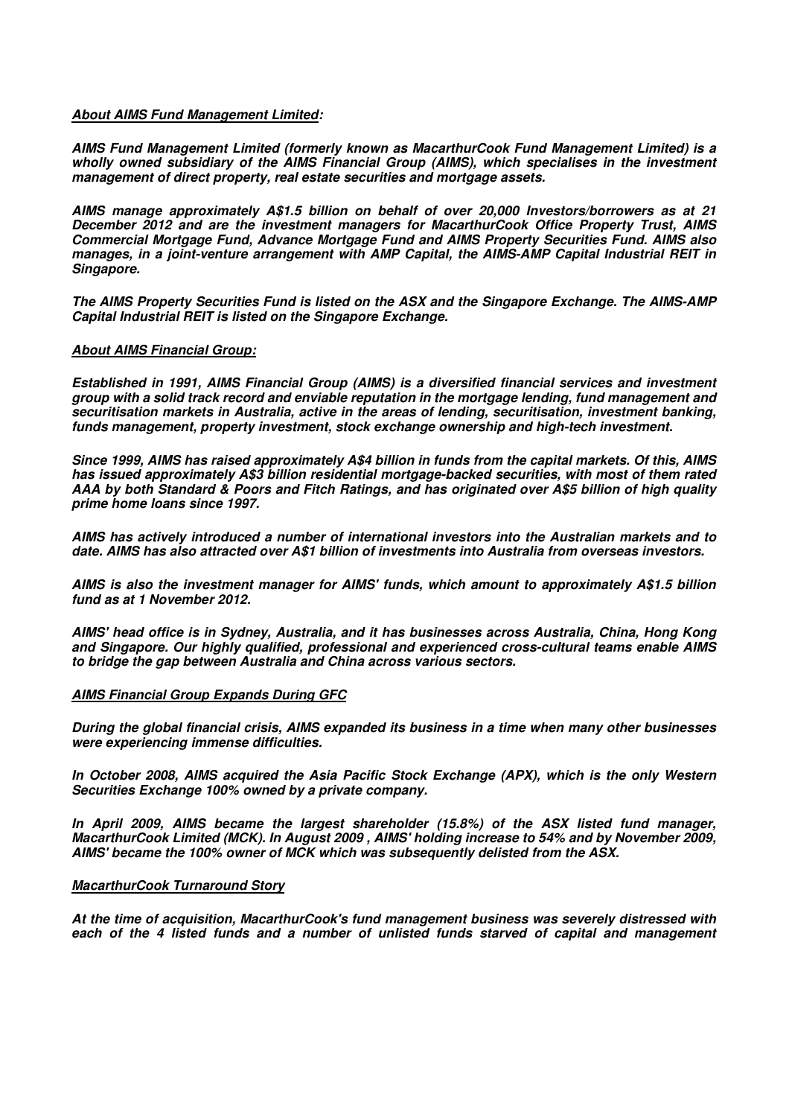## **About AIMS Fund Management Limited:**

**AIMS Fund Management Limited (formerly known as MacarthurCook Fund Management Limited) is a wholly owned subsidiary of the AIMS Financial Group (AIMS), which specialises in the investment management of direct property, real estate securities and mortgage assets.** 

**AIMS manage approximately A\$1.5 billion on behalf of over 20,000 Investors/borrowers as at 21 December 2012 and are the investment managers for MacarthurCook Office Property Trust, AIMS Commercial Mortgage Fund, Advance Mortgage Fund and AIMS Property Securities Fund. AIMS also manages, in a joint-venture arrangement with AMP Capital, the AIMS-AMP Capital Industrial REIT in Singapore.** 

**The AIMS Property Securities Fund is listed on the ASX and the Singapore Exchange. The AIMS-AMP Capital Industrial REIT is listed on the Singapore Exchange.** 

#### **About AIMS Financial Group:**

**Established in 1991, AIMS Financial Group (AIMS) is a diversified financial services and investment group with a solid track record and enviable reputation in the mortgage lending, fund management and securitisation markets in Australia, active in the areas of lending, securitisation, investment banking, funds management, property investment, stock exchange ownership and high-tech investment.** 

**Since 1999, AIMS has raised approximately A\$4 billion in funds from the capital markets. Of this, AIMS has issued approximately A\$3 billion residential mortgage-backed securities, with most of them rated AAA by both Standard & Poors and Fitch Ratings, and has originated over A\$5 billion of high quality prime home loans since 1997.** 

**AIMS has actively introduced a number of international investors into the Australian markets and to date. AIMS has also attracted over A\$1 billion of investments into Australia from overseas investors.** 

**AIMS is also the investment manager for AIMS' funds, which amount to approximately A\$1.5 billion fund as at 1 November 2012.** 

**AIMS' head office is in Sydney, Australia, and it has businesses across Australia, China, Hong Kong and Singapore. Our highly qualified, professional and experienced cross-cultural teams enable AIMS to bridge the gap between Australia and China across various sectors.** 

## **AIMS Financial Group Expands During GFC**

**During the global financial crisis, AIMS expanded its business in a time when many other businesses were experiencing immense difficulties.** 

**In October 2008, AIMS acquired the Asia Pacific Stock Exchange (APX), which is the only Western Securities Exchange 100% owned by a private company.** 

**In April 2009, AIMS became the largest shareholder (15.8%) of the ASX listed fund manager, MacarthurCook Limited (MCK). In August 2009 , AIMS' holding increase to 54% and by November 2009, AIMS' became the 100% owner of MCK which was subsequently delisted from the ASX.** 

#### **MacarthurCook Turnaround Story**

**At the time of acquisition, MacarthurCook's fund management business was severely distressed with each of the 4 listed funds and a number of unlisted funds starved of capital and management**